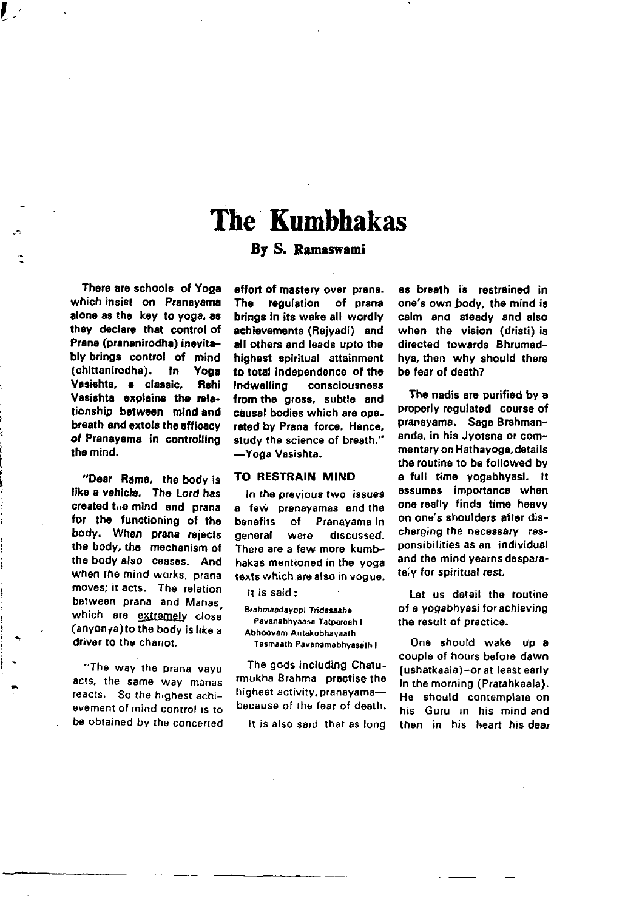# The Kumbhakas

# By S. Ramaswani

There are schools of Yoga which insist on Pranayama alone as the key to yoga, as they declare that control of Prana (prananirodha) inevitably brings control of mind<br>(chittanirodha), in Yoga (chittanirodha). In Yoga Vasishta, a classic. Rshi Vasishta explains the relationship between mind and breath and extols tho efficscy of Pranayama in controlling tho mind.

 $\mathcal{L}^+$ 

"Dear Rama, tho body is like a vehicle. The Lord has created t<sub>o</sub>e mind and prana tor the tunctioning of tho body. When prana rejects the body, the mechanism of tho body also ceases. And when the mind works, prana moves; it acts. The relation between prana and Manas which are extremely close (anyonya) to the body is like a driver to the chariot.

"The way the prana vayu acts, the same way manas reacts. So the highest achievement of mind control is to be obtained by the concerted effort of mastery over prana. The requiation of prana brings in its wake all wordly achievements (Rajyadi) end all others and leads upto the highest spiritual attainmont to total independence of the indwelling consciousness from the gross, subtle and causal bodies which are operated by Prana force, Hence, study the science of breath." -Yoga Vasishta.

#### TO RESTRAIN M]ND

In the previous two issuss a few pranayamas and the benefits of Pranayama in general were discussed. There are a few more kumbhakas mentioned in the yoga texts which are also in vogue.

It is said:

Brahmaadayopi Tridasaaha Pavanabhyaasa Tatparaah I Abhoovam Antakobhavaath Tasmaath Pavanamabhyaseth I

The gods including Chaturmukha Brahma practise tho highest activity, pranayama-because of the fear of death,

It is also sard that as long

as breath is restrained in ons's own body, the mind is calm and steady and also when the vision (dristi) is directed towards Bhrumadhya, then why should there be fear of death?

The nadis are purified by a properly regulated course of pranayama. Sage Brahmananda, in his Jyotsna or commentary on Hathayoga, details the routine to be followed by a full time yogabhyasi. lt assumes importance when one really finds time heavy on one's shoulders after discharging the necessary responsibilities as an individual and the mind yearns desparateiv for spiritual rest.

Let us detail the routine of a yogabhyasi for achieving the result of practice.

One should wake up a couple of hours before dawn (ushatkaala)-or at least early In the morning (Pratahkaala). He should contemplale on his Guru in his mind and then in his heart his dear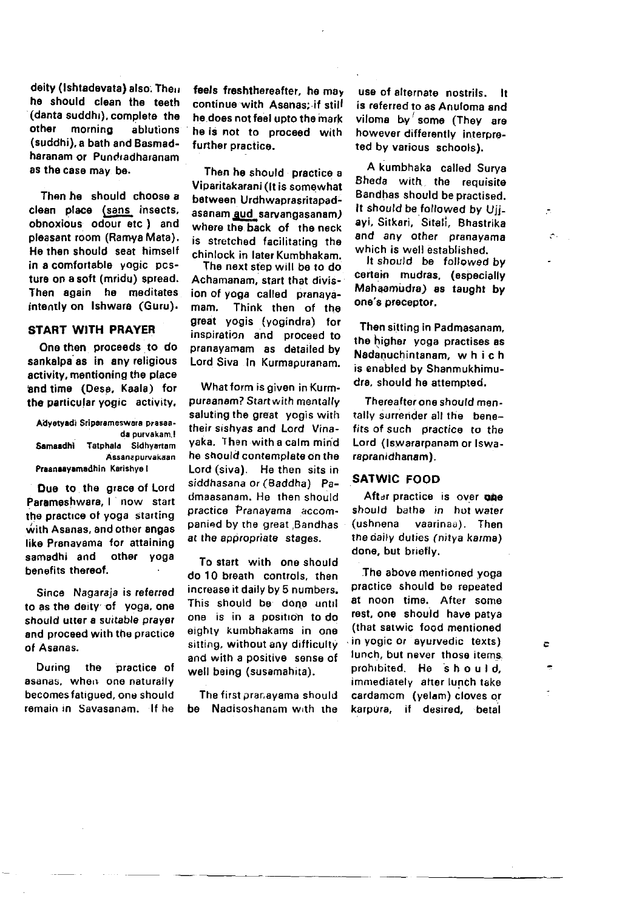deity (Ishtadevata) also. Then he should clean the teeth (danta suddhi), complete the other mornina ablutions (suddhi), a bath and Basmadharanam or Pundradharanam as the case may be.

Then he should choose a clean place (sans insects, obnoxious odour etc.) and pleasant room (Ramya Mata). He then should seat himself in a comfortable vogic pcsture on a soft (mridu) spread. Then again he meditates intently on Ishwara (Guru).

# **START WITH PRAYER**

One then proceeds to do sankalpa as in any religious activity, mentioning the place and time (Desa, Kaala) for the particular vogic activity,

Advetvadi Sriparameswara prasaada purvakam,! Samaadhi Tatphala Sidhyartam Assanznurvakaan Praanaavamadhin Karishye I

Due to the grace of Lord Parameshwara, I now start the practice of yoga starting with Asanas, and other angas like Pranavama for attaining samadhi and other yoga henafits thereof.

Since Nagaraia is referred to as the deity of yoga, one should litter a suitable prayer and proceed with the practice of Asanas.

During the practice of asanas, when one naturally becomes fatiqued, one should remain in Savasanam If he feels freshthereafter, he may continue with Asanas: if still he does not feel upto the mark he is not to proceed with further practice.

Then he should practice a Viparitakarani (It is somewhat between Urdhwaprasritapadasanam aud sarvangasanam) where the back of the neck is stretched facilitating the chinlock in later Kumbhakam.

The next step will be to do Achamanam, start that division of yoga called pranayamam. Think then of the great vogis (yogindra) for inspiration and proceed to pranavamam as detailed by Lord Siva In Kurmapuranam.

What form is given in Kurmpuraanam? Start with mentally saluting the great vogis with their sishyas and Lord Vinayaka. Then with a calm mind he should contemplate on the Lord (siva). He then sits in siddhasana or (Baddha) Padmaasanam. He then should practice Pranavama accompanied by the great Bandhas at the appropriate stages.

To start with one should do 10 breath controls, then increase it daily by 5 numbers. This should be done until one is in a position to do eighty kumbhakams in one sitting, without any difficulty and with a positive sense of well being (susamahita).

The first pranayama should be Nadisoshanam with the

use of alternate nostrils. It is referred to as Anuloma and viloma by some (They are however differently interpreted by various schools).

A kumbhaka called Surva Bheda with the requisite Bandhas should be practised. It should be followed by Uii. ayi, Sitkari, Sitali, Bhastrika and any other pranavama which is well established

 $\overline{\mathcal{L}}$ 

À.

÷

 $\mathcal{C}$ 

It should be followed by certain mudras, (especially Mahaamudra) as taught by one's preceptor.

Then sitting in Padmasanam. the higher yoga practises as Nadanuchintanam, which is enabled by Shanmukhimudra, should he attempted.

Thereafter one should mentally surrender all the benefits of such practice to the Lord (Iswararpanam or Iswarapranidhanam).

## **SATWIC FOOD**

After practice is over one should bathe in hot water *<u>fushnena</u>* vaarinaa). Then the daily duties (nitya karma) done, but briefly.

The above mentioned vogal practice should be repeated at noon time. After some rest, one should have patva (that satwic food mentioned in vogic or avurvedic texts) lunch, but never those items. prohibited. He should. immediately after lunch take cardamom (yelam) cloves or karpura, if desired, betal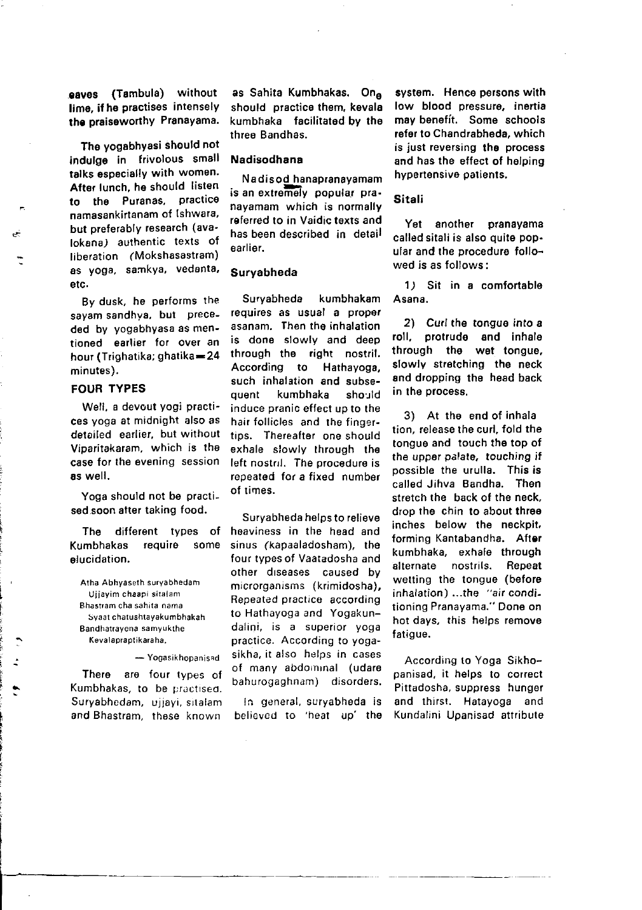eaves (Tambula) without lime, if he practises intenselv the praiseworthy Pranayama.

The yogabhYasi should not indulge in frivolous small talks especially with women. After lunch, he should listen to the Puranas, practice namasankirtanam of lshwara, but preferably reseatch (avalokana) authentic texts of liberation (Mokshasastram) as yoga, sarnkya, vedanta, etc.

By dusk, he petforms the sayam sandhya, but preceded by yogabhyasa as mentioned earlier for over an hour (Trighatika; ghatika=24 minutes).

### FOUR TYPES

Well, a devout yogi practices yoga at midnight also as derailed earlier, but without Viparitakaram, which is the case for the evening session as well.

Yoga should not be practised soon atter taking food.

The different types of Kumbhakas require some elucidation,

Atha Abhvaseth survabhedah Ujjayim chaapi sitalam thastram cha sahita nama Svaat chatushtayakumbhakah Bandhatrayena samyukthe Kevalapraplikaraha.

- Yogasikhopanisad

There are four types of Kumbhakas, to be practised. Suryabhedam, ujjayi, sitalam and Bhastram, these known

as Sahita Kumbhakas. Ona should practice them, kevala kumbhaka facilitated by the three Bandhas.

## Nadisodhana

Na disod hanapranayamam is an extremely popular pranayamam which is normally referred to in Vaidic texts and has been described in detail earlier.

#### Suryabheda

Suryabheda kumbhakam requires as usual a propef asanam. Then tho inhalation is done slowly and deep through the right nostril. According to Hathayoga, such inhalation and subsequent kumbhaka should induce pranic effect up to the hair follicles and the fingertips. Thereafter one should exhale slowly through the left nostnl. The procedure is repeated for a fixed number of times.

Suryabheda helps to relieve heaviness in the head and sinus (kapaaladosham), the four types of Vaatadosha and other diseases caused by microrganisms (krimidosha), Repeated practice according to Hathayoga and Yogakundalini, is a superior yoga practice. According to yogasikha, it also helos in cases of many abdornrnal (udare bahurogaghnam) disorders,

ln general, suryabheda is believcd to 'heat uo' the

system. Hence persons with low blood pressure, inertia may benefit. Some schools refer to Chandrabheda, which is just reversing the process and has the effect of helping hypertensivo patients,

# Sitali

Yet another pranayama called sitali is also quite popular and the procedure followed is as follows:

1) Sit in a comfortable Asana.

2) Curl the tongue into a roll, protrude and inhale through the wet tongue. slowly stretching the neck and dropping the head back in the process.

3) At the end of inhala tion, releaso the curl, fold the tongue and touch the top of the upper palate, touching if possible the urulla. This is called Jihva Bandha. Then stretch the back of the neck. drop the chin to about three inches below the neckpit, forming Kantabandha. After kumbhaka, exhale through<br>alternate nostrils. Repeat alternate wetting the tongue (before inhalation) ...the "air conditioning Pranayama." Done on hot days, this helps remove fatigue.

According to Yoga Sikhopanisad, it helps to correct Pittadosha, suppress hunger and thirst. Hatayoga and Kundalini Upanisad attribute